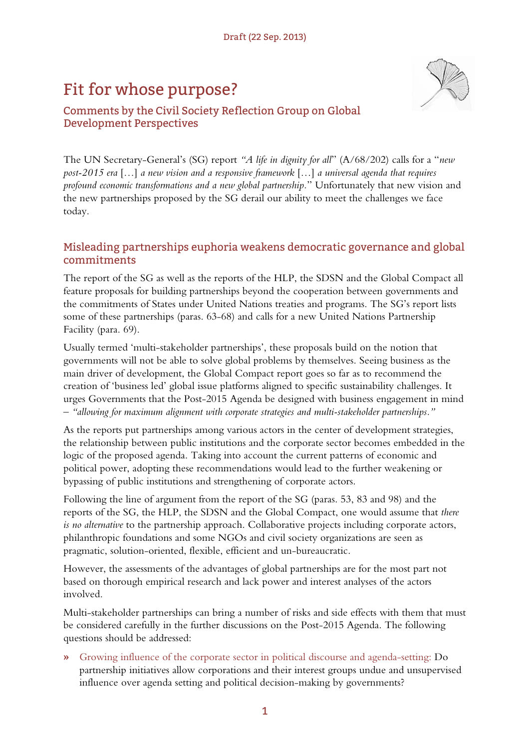## Fit for whose purpose?



## Comments by the Civil Society Reflection Group on Global Development Perspectives

The UN Secretary-General's (SG) report *"A life in dignity for all*" (A/68/202) calls for a "*new post-2015 era* […] *a new vision and a responsive framework* […] *a universal agenda that requires profound economic transformations and a new global partnership.*" Unfortunately that new vision and the new partnerships proposed by the SG derail our ability to meet the challenges we face today.

## Misleading partnerships euphoria weakens democratic governance and global commitments

The report of the SG as well as the reports of the HLP, the SDSN and the Global Compact all feature proposals for building partnerships beyond the cooperation between governments and the commitments of States under United Nations treaties and programs. The SG's report lists some of these partnerships (paras. 63-68) and calls for a new United Nations Partnership Facility (para. 69).

Usually termed 'multi-stakeholder partnerships', these proposals build on the notion that governments will not be able to solve global problems by themselves. Seeing business as the main driver of development, the Global Compact report goes so far as to recommend the creation of 'business led' global issue platforms aligned to specific sustainability challenges. It urges Governments that the Post-2015 Agenda be designed with business engagement in mind – *"allowing for maximum alignment with corporate strategies and multi-stakeholder partnerships."*

As the reports put partnerships among various actors in the center of development strategies, the relationship between public institutions and the corporate sector becomes embedded in the logic of the proposed agenda. Taking into account the current patterns of economic and political power, adopting these recommendations would lead to the further weakening or bypassing of public institutions and strengthening of corporate actors.

Following the line of argument from the report of the SG (paras. 53, 83 and 98) and the reports of the SG, the HLP, the SDSN and the Global Compact, one would assume that *there is no alternative* to the partnership approach. Collaborative projects including corporate actors, philanthropic foundations and some NGOs and civil society organizations are seen as pragmatic, solution-oriented, flexible, efficient and un-bureaucratic.

However, the assessments of the advantages of global partnerships are for the most part not based on thorough empirical research and lack power and interest analyses of the actors involved.

Multi-stakeholder partnerships can bring a number of risks and side effects with them that must be considered carefully in the further discussions on the Post-2015 Agenda. The following questions should be addressed:

**»** Growing influence of the corporate sector in political discourse and agenda-setting: Do partnership initiatives allow corporations and their interest groups undue and unsupervised influence over agenda setting and political decision-making by governments?